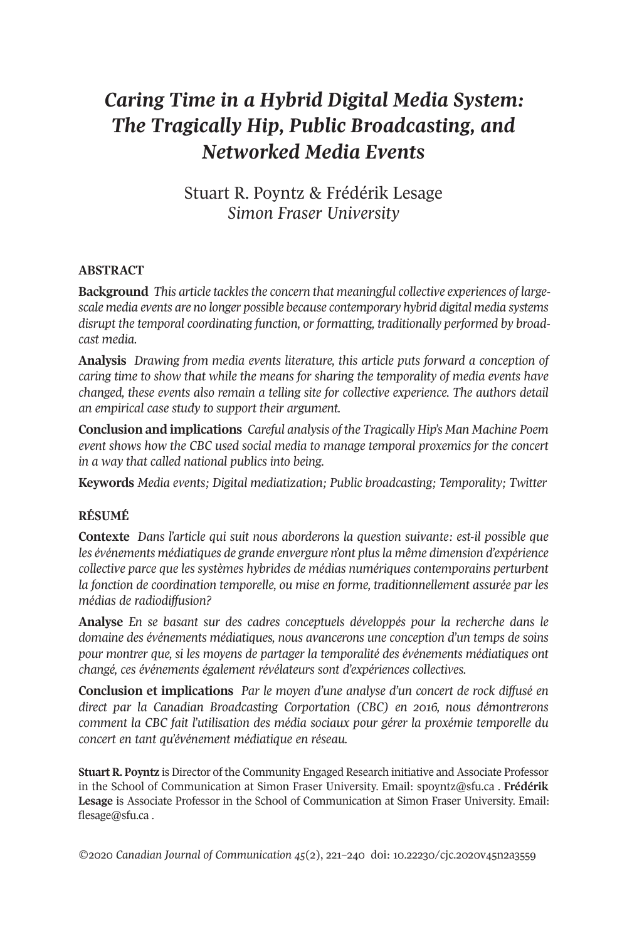# *Caring Time in a Hybrid Digital Media System: The Tragically Hip, Public Broadcasting, and Networked Media Events*

Stuart R. Poyntz & Frédérik Lesage *Simon Fraser University*

## **ABSTRACT**

**Background** This article tackles the concern that meaningful collective experiences of large*scale media events are no longer possible because contemporary hybrid digital media systems disrupt the temporal coordinating function, or formatting, traditionally performed by broadcast media.*

**Analysis** *Drawing from media events literature, this article puts forward a conception of caring time to show that while the means for sharing the temporality of media events have changed, these events also remain a telling site for collective experience. The authors detail an empirical case study to support their argument.*

**Conclusion and implications** *Careful analysis of the Tragically Hip's Man Machine Poem event shows how the CBC used social media to manage temporal proxemics for the concert in a way that called national publics into being.*

**Keywords** *Media events; Digital mediatization; Public broadcasting; Temporality; Twitter*

## **RÉSUMÉ**

**Contexte** *Dans l'article qui suit nous aborderons la question suivante: est-il possible que les événements médiatiques de grande envergure n'ont plusla même dimension d'expérience collective parce que les systèmes hybrides de médias numériques contemporains perturbent la fonction de coordination temporelle, ou mise en forme, traditionnellement assurée par les médias de radiodiffusion?*

**Analyse** *En se basant sur des cadres conceptuels développés pour la recherche dans le domaine des événements médiatiques, nous avancerons une conception d'un temps de soins pour montrer que, si les moyens de partager la temporalité des événements médiatiques ont changé, ces événements également révélateurs sont d'expériences collectives.*

**Conclusion et implications** *Par le moyen d'une analyse d'un concert de rock diffusé en direct par la Canadian Broadcasting Corportation (CBC) en 2016, nous démontrerons comment la CBC fait l'utilisation des média sociaux pour gérer la proxémie temporelle du concert en tant qu'événement médiatique en réseau.*

**Stuart R. Poyntz** is Director of the Community Engaged Research initiative and Associate Professor in the School of Communication at Simon Fraser University. Email: [spoyntz@sfu.ca](mailto:spoyntz@sfu.ca) . **Frédérik Lesage** is Associate Professor in the School of Communication at Simon Fraser University. Email: [flesage@sfu.ca](mailto:flesage@sfu.ca) .

*©*2020 *Canadian Journal of [Communication](http://www.cjc-online.ca) 45*(2), 221–200 doi: [10.22230/cjc.2020v05n2a3559](http://doi.org/10.22230/cjc.2020v45n2a3559)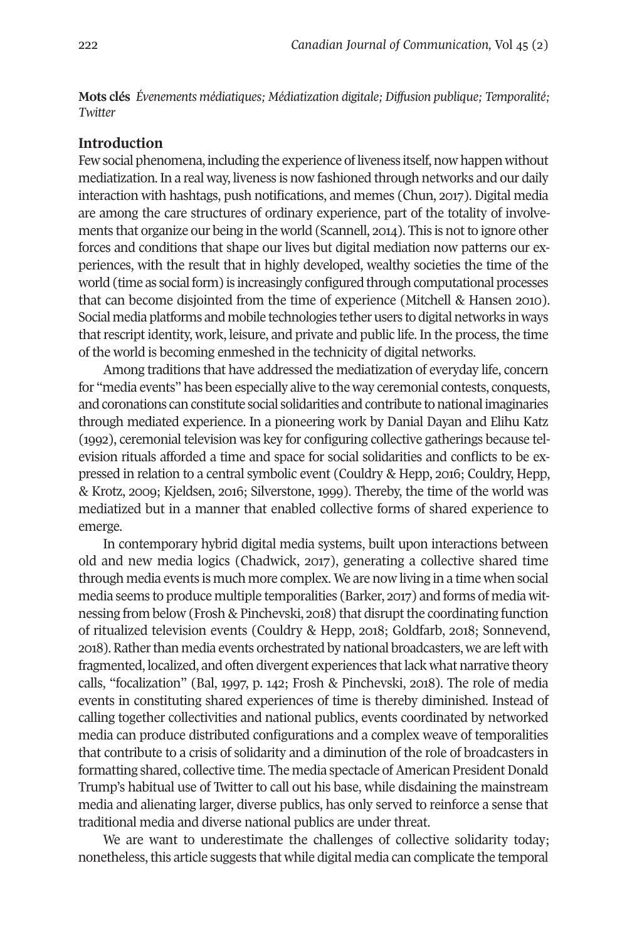**Mots clés** *Évenements médiatiques; Médiatization digitale; Diffusion publique; Temporalité; Twitter*

## **Introduction**

Few social phenomena, including the experience of liveness itself, now happen without mediatization. In a real way, liveness is now fashioned through networks and our daily interaction with hashtags, push notifications, and memes (Chun, 2017). Digital media are among the care structures of ordinary experience, part of the totality of involvements that organize our being in the world (Scannell, 2010). This is notto ignore other forces and conditions that shape our lives but digital mediation now patterns our experiences, with the result that in highly developed, wealthy societies the time of the world (time as social form) is increasingly configured through computational processes that can become disjointed from the time of experience (Mitchell & Hansen 2010). Social media platforms and mobile technologies tether users to digital networks in ways that rescript identity, work, leisure, and private and public life. In the process, the time of the world is becoming enmeshed in the technicity of digital networks.

Among traditions that have addressed the mediatization of everyday life, concern for "media events" has been especially alive to the way ceremonial contests, conquests, and coronations can constitute social solidarities and contribute to national imaginaries through mediated experience. In a pioneering work by Danial Dayan and Elihu Katz (1992), ceremonial television was key for configuring collective gatherings because television rituals afforded a time and space for social solidarities and conflicts to be expressed in relation to a central symbolic event (Couldry & Hepp, 2016; Couldry, Hepp, & Krotz, 2009; Kjeldsen, 2016; Silverstone, 1999). Thereby, the time of the world was mediatized but in a manner that enabled collective forms of shared experience to emerge.

In contemporary hybrid digital media systems, built upon interactions between old and new media logics (Chadwick, 2017), generating a collective shared time through media events is much more complex. We are now living in a time when social media seems to produce multiple temporalities (Barker, 2017) and forms of media witnessing from below (Frosh & Pinchevski, 2018) that disrupt the coordinating function of ritualized television events (Couldry & Hepp, 2018; Goldfarb, 2018; Sonnevend, 2018).Ratherthan media events orchestrated by national broadcasters, we are left with fragmented, localized, and often divergent experiences thatlack what narrative theory calls, "focalization" (Bal, 1997, p. 142; Frosh & Pinchevski, 2018). The role of media events in constituting shared experiences of time is thereby diminished. Instead of calling together collectivities and national publics, events coordinated by networked media can produce distributed configurations and a complex weave of temporalities that contribute to a crisis of solidarity and a diminution of the role of broadcasters in formatting shared, collective time. The media spectacle of American President Donald Trump's habitual use of Twitter to call out his base, while disdaining the mainstream media and alienating larger, diverse publics, has only served to reinforce a sense that traditional media and diverse national publics are under threat.

We are want to underestimate the challenges of collective solidarity today; nonetheless,this article suggests that while digital media can complicate the temporal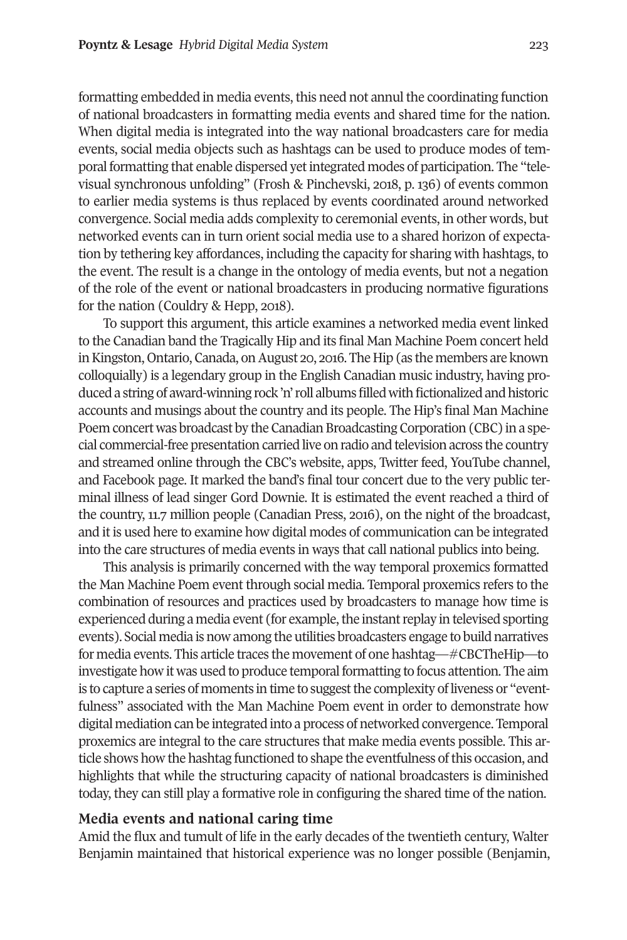formatting embedded in media events, this need not annul the coordinating function of national broadcasters in formatting media events and shared time for the nation. When digital media is integrated into the way national broadcasters care for media events, social media objects such as hashtags can be used to produce modes of temporal formatting that enable dispersed yetintegrated modes of participation. The "televisual synchronous unfolding" (Frosh & Pinchevski, 2018, p. 136) of events common to earlier media systems is thus replaced by events coordinated around networked convergence. Social media adds complexity to ceremonial events, in other words, but networked events can in turn orient social media use to a shared horizon of expectation by tethering key affordances, including the capacity for sharing with hashtags, to the event. The result is a change in the ontology of media events, but not a negation of the role of the event or national broadcasters in producing normative figurations for the nation (Couldry & Hepp, 2018).

To support this argument, this article examines a networked media event linked to the Canadian band the Tragically Hip and its final Man Machine Poem concert held in Kingston, Ontario, Canada, on August 20, 2016. The Hip (as the members are known colloquially) is a legendary group in the English Canadian music industry, having produced a string of award-winning rock 'n' roll albums filled with fictionalized and historic accounts and musings about the country and its people. The Hip's final Man Machine Poem concert was broadcast by the Canadian Broadcasting Corporation (CBC) in a special commercial-free presentation carried live on radio and television across the country and streamed online through the CBC's website, apps, Twitter feed, YouTube channel, and Facebook page. It marked the band's final tour concert due to the very public terminal illness of lead singer Gord Downie. It is estimated the event reached a third of the country, 11.7 million people (Canadian Press, 2016), on the night of the broadcast, and it is used here to examine how digital modes of communication can be integrated into the care structures of media events in ways that call national publics into being.

This analysis is primarily concerned with the way temporal proxemics formatted the Man Machine Poem event through social media. Temporal proxemics refers to the combination of resources and practices used by broadcasters to manage how time is experienced during a media event (for example, the instant replay in televised sporting events). Social media is now among the utilities broadcasters engage to build narratives for media events. This article traces the movement of one hashtag—#CBCTheHip—to investigate how it was used to produce temporal formatting to focus attention. The aim is to capture a series of moments in time to suggest the complexity of liveness or "eventfulness" associated with the Man Machine Poem event in order to demonstrate how digital mediation can be integrated into a process of networked convergence. Temporal proxemics are integral to the care structures that make media events possible. This article shows how the hashtag functioned to shape the eventfulness ofthis occasion, and highlights that while the structuring capacity of national broadcasters is diminished today, they can still play a formative role in configuring the shared time of the nation.

#### **Media events and national caring time**

Amid the flux and tumult of life in the early decades of the twentieth century, Walter Benjamin maintained that historical experience was no longer possible (Benjamin,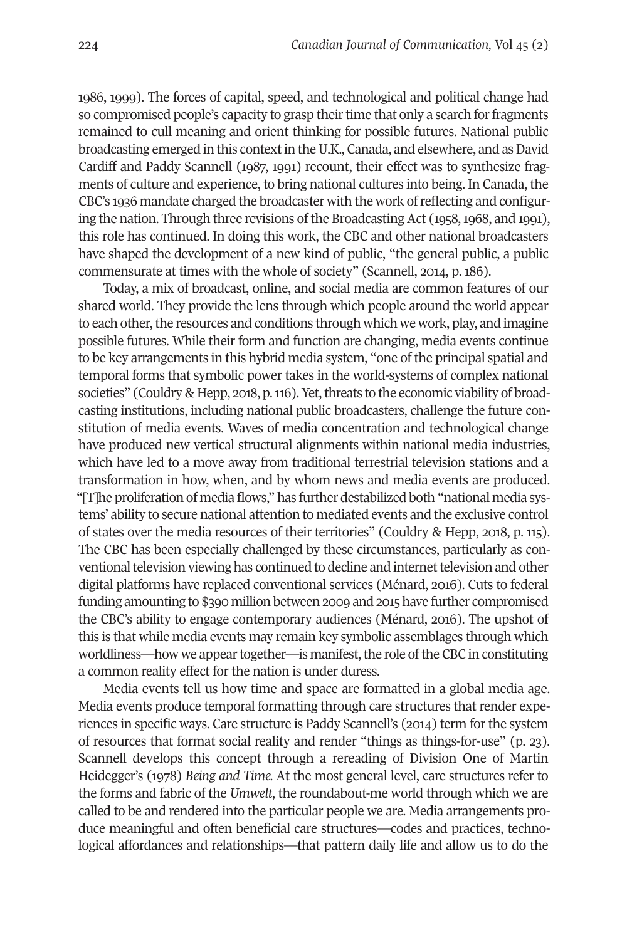1986, 1999). The forces of capital, speed, and technological and political change had so compromised people's capacity to grasp their time that only a search for fragments remained to cull meaning and orient thinking for possible futures. National public broadcasting emerged in this contextin theU.K., Canada, and elsewhere, and asDavid Cardiff and Paddy Scannell (1987, 1991) recount, their effect was to synthesize fragments of culture and experience, to bring national cultures into being. In Canada, the CBC's 1936 mandate charged the broadcaster with the work ofreflecting and configuring the nation. Through three revisions of the Broadcasting Act (1958, 1968, and 1991), this role has continued. In doing this work, the CBC and other national broadcasters have shaped the development of a new kind of public, "the general public, a public commensurate at times with the whole of society" (Scannell, 2014, p. 186).

Today, a mix of broadcast, online, and social media are common features of our shared world. They provide the lens through which people around the world appear to each other, the resources and conditions through which we work, play, and imagine possible futures. While their form and function are changing, media events continue to be key arrangements in this hybrid media system, "one of the principal spatial and temporal forms that symbolic power takes in the world-systems of complex national societies" (Couldry & Hepp, 2018, p. 116). Yet, threats to the economic viability of broadcasting institutions, including national public broadcasters, challenge the future constitution of media events. Waves of media concentration and technological change have produced new vertical structural alignments within national media industries, which have led to a move away from traditional terrestrial television stations and a transformation in how, when, and by whom news and media events are produced. "[T]he proliferation of media flows," has further destabilized both "national media systems' ability to secure national attention to mediated events and the exclusive control of states over the media resources of their territories" (Couldry & Hepp, 2018, p. 115). The CBC has been especially challenged by these circumstances, particularly as conventional television viewing has continued to decline and internet television and other digital platforms have replaced conventional services (Ménard, 2016). Cuts to federal funding amounting to \$390 million between 2009 and 2015 have further compromised the CBC's ability to engage contemporary audiences (Ménard, 2016). The upshot of this is that while media events may remain key symbolic assemblages through which worldliness—how we appear together—is manifest, the role of the CBC in constituting a common reality effect for the nation is under duress.

Media events tell us how time and space are formatted in a global media age. Media events produce temporal formatting through care structures that render experiences in specific ways. Care structure is Paddy Scannell's (2014) term for the system of resources that format social reality and render "things as things-for-use" (p. 23). Scannell develops this concept through a rereading of Division One of Martin Heidegger's (1978) *Being and Time.* At the most general level, care structures refer to the forms and fabric of the *Umwelt*, the roundabout-me world through which we are called to be and rendered into the particular people we are. Media arrangements produce meaningful and often beneficial care structures—codes and practices, technological affordances and relationships—that pattern daily life and allow us to do the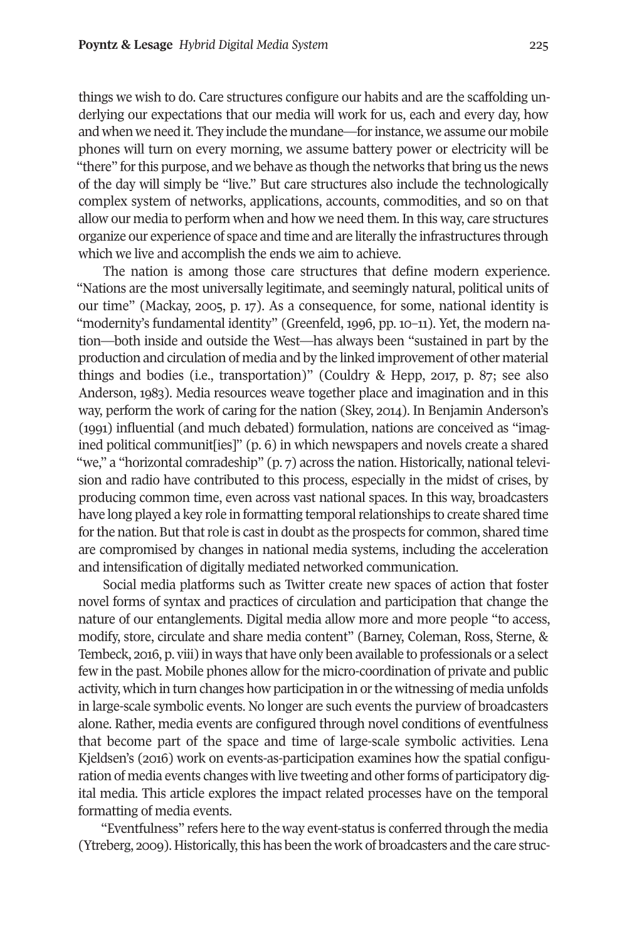things we wish to do. Care structures configure our habits and are the scaffolding underlying our expectations that our media will work for us, each and every day, how and when we need it. They include the mundane—for instance, we assume our mobile phones will turn on every morning, we assume battery power or electricity will be "there" forthis purpose, and we behave as though the networks that bring us the news of the day will simply be "live." But care structures also include the technologically complex system of networks, applications, accounts, commodities, and so on that allow our media to perform when and how we need them. In this way, care structures organize our experience of space and time and are literally the infrastructures through which we live and accomplish the ends we aim to achieve.

The nation is among those care structures that define modern experience. "Nations are the most universally legitimate, and seemingly natural, political units of our time" (Mackay, 2005, p. 17). As a consequence, for some, national identity is "modernity's fundamental identity" (Greenfeld, 1996, pp. 10–11). Yet, the modern nation—both inside and outside the West—has always been "sustained in part by the production and circulation of media and by the linked improvement of other material things and bodies (i.e., transportation)" (Couldry & Hepp, 2017, p. 87; see also Anderson, 1983). Media resources weave together place and imagination and in this way, perform the work of caring for the nation (Skey, 2010). In Benjamin Anderson's (1991) influential (and much debated) formulation, nations are conceived as "imagined political communit[ies]" (p. 6) in which newspapers and novels create a shared "we," a "horizontal comradeship" (p. 7) across the nation. Historically, national television and radio have contributed to this process, especially in the midst of crises, by producing common time, even across vast national spaces. In this way, broadcasters have long played a key role in formatting temporal relationships to create shared time for the nation. But that role is cast in doubt as the prospects for common, shared time are compromised by changes in national media systems, including the acceleration and intensification of digitally mediated networked communication.

Social media platforms such as Twitter create new spaces of action that foster novel forms of syntax and practices of circulation and participation that change the nature of our entanglements. Digital media allow more and more people "to access, modify, store, circulate and share media content" (Barney, Coleman, Ross, Sterne, & Tembeck, 2016, p. viii) in ways that have only been available to professionals or a select few in the past. Mobile phones allow forthe micro-coordination of private and public activity, which in turn changes how participation in or the witnessing of media unfolds in large-scale symbolic events. No longer are such events the purview of broadcasters alone. Rather, media events are configured through novel conditions of eventfulness that become part of the space and time of large-scale symbolic activities. Lena Kjeldsen's (2016) work on events-as-participation examines how the spatial configuration of media events changes with live tweeting and other forms of participatory digital media. This article explores the impact related processes have on the temporal formatting of media events.

"Eventfulness" refers here to the way event-status is conferred through the media (Ytreberg, 2009). Historically, this has been the work of broadcasters and the care struc-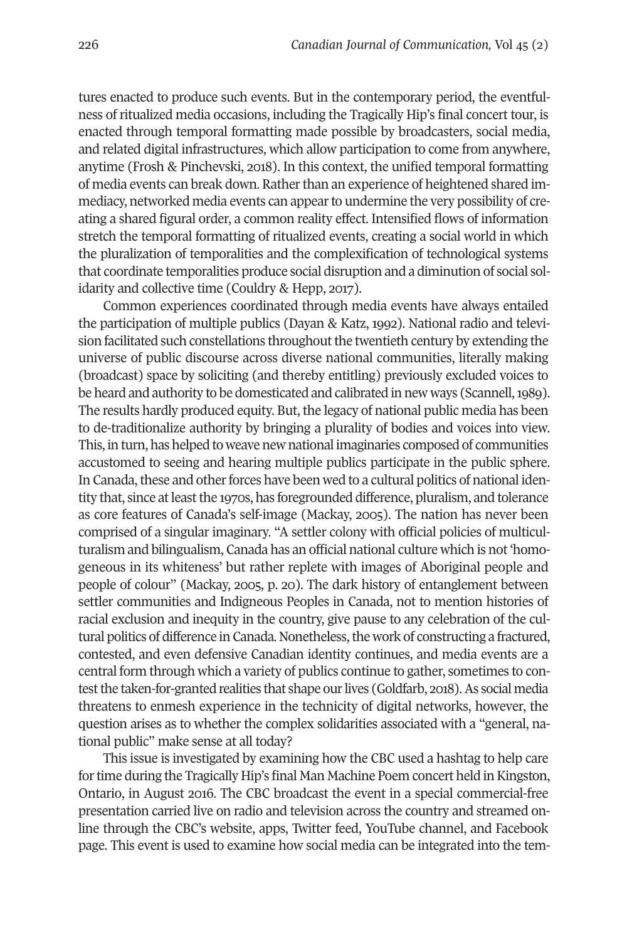tures enacted to produce such events. But in the contemporary period, the eventfulness of ritualized media occasions, including the Tragically Hip's final concert tour, is enacted through temporal formatting made possible by broadcasters, social media, and related digital infrastructures, which allow participation to come from anywhere, anytime (Frosh & Pinchevski, 2018). In this context, the unified temporal formatting of media events can break down. Ratherthan an experience of heightened shared immediacy, networked media events can appearto undermine the very possibility of creating a shared figural order, a common reality effect. Intensified flows of information stretch the temporal formatting of ritualized events, creating a social world in which the pluralization of temporalities and the complexification of technological systems that coordinate temporalities produce social disruption and a diminution of social solidarity and collective time (Couldry & Hepp, 2017).

Common experiences coordinated through media events have always entailed the participation of multiple publics (Dayan & Katz, 1992). National radio and television facilitated such constellations throughout the twentieth century by extending the universe of public discourse across diverse national communities, literally making (broadcast) space by soliciting (and thereby entitling) previously excluded voices to be heard and authority to be domesticated and calibrated in new ways (Scannell,1989). The results hardly produced equity. But, the legacy of national public media has been to de-traditionalize authority by bringing a plurality of bodies and voices into view. This, in turn, has helped to weave new national imaginaries composed of communities accustomed to seeing and hearing multiple publics participate in the public sphere. In Canada, these and other forces have been wed to a cultural politics of national identity that, since at least the 1970s, has foregrounded difference, pluralism, and tolerance as core features of Canada's self-image (Mackay, 2005). The nation has never been comprised of a singular imaginary. "A settler colony with official policies of multiculturalism and bilingualism, Canada has an official national culture which is not'homogeneous in its whiteness' but rather replete with images of Aboriginal people and people of colour" (Mackay, 2005, p. 20). The dark history of entanglement between settler communities and Indigneous Peoples in Canada, not to mention histories of racial exclusion and inequity in the country, give pause to any celebration of the cultural politics of difference in Canada. Nonetheless, the work of constructing a fractured, contested, and even defensive Canadian identity continues, and media events are a central form through which a variety of publics continue to gather, sometimes to contestthe taken-for-granted realities that shape ourlives (Goldfarb, 2018).As social media threatens to enmesh experience in the technicity of digital networks, however, the question arises as to whether the complex solidarities associated with a "general, national public" make sense at all today?

This issue is investigated by examining how the CBC used a hashtag to help care for time during the Tragically Hip's final Man Machine Poem concert held in Kingston, Ontario, in August 2016. The CBC broadcast the event in a special commercial-free presentation carried live on radio and television across the country and streamed online through the CBC's website, apps, Twitter feed, YouTube channel, and Facebook page. This event is used to examine how social media can be integrated into the tem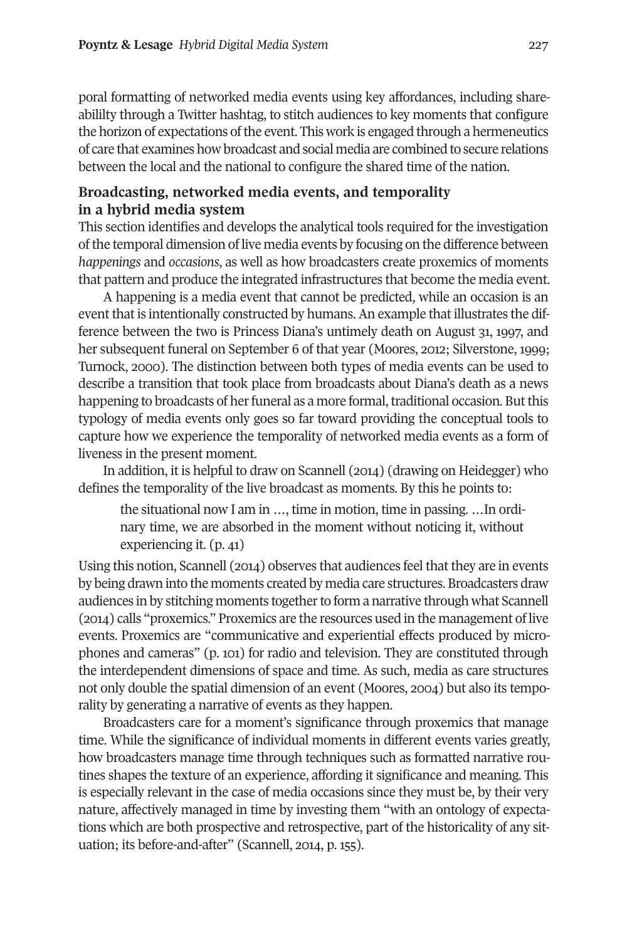poral formatting of networked media events using key affordances, including shareabililty through a Twitter hashtag, to stitch audiences to key moments that configure the horizon of expectations of the event. This work is engaged through a hermeneutics of care that examines how broadcast and social media are combined to secure relations between the local and the national to configure the shared time of the nation.

## **Broadcasting, networked media events, and temporality in a hybrid media system**

This section identifies and develops the analytical tools required for the investigation ofthe temporal dimension of live media events by focusing on the difference between *happenings* and *occasions*, as well as how broadcasters create proxemics of moments that pattern and produce the integrated infrastructures that become the media event.

A happening is a media event that cannot be predicted, while an occasion is an event that is intentionally constructed by humans. An example that illustrates the difference between the two is Princess Diana's untimely death on August 31, 1997, and her subsequent funeral on September 6 of that year (Moores, 2012; Silverstone, 1999; Turnock, 2000). The distinction between both types of media events can be used to describe a transition that took place from broadcasts about Diana's death as a news happening to broadcasts of her funeral as a more formal, traditional occasion. But this typology of media events only goes so far toward providing the conceptual tools to capture how we experience the temporality of networked media events as a form of liveness in the present moment.

In addition, it is helpful to draw on Scannell (2014) (drawing on Heidegger) who defines the temporality of the live broadcast as moments. By this he points to:

the situational now I am in …, time in motion, time in passing. …In ordinary time, we are absorbed in the moment without noticing it, without experiencing it.  $(p. 41)$ 

Using this notion, Scannell (2014) observes that audiences feel that they are in events by being drawn into the moments created by media care structures. Broadcasters draw audiences in by stitching moments together to form a narrative through what Scannell (2010) calls "proxemics." Proxemics are the resources used in the management of live events. Proxemics are "communicative and experiential effects produced by microphones and cameras" (p. 101) for radio and television. They are constituted through the interdependent dimensions of space and time. As such, media as care structures not only double the spatial dimension of an event (Moores, 2004) but also its temporality by generating a narrative of events as they happen.

Broadcasters care for a moment's significance through proxemics that manage time. While the significance of individual moments in different events varies greatly, how broadcasters manage time through techniques such as formatted narrative routines shapes the texture of an experience, affording it significance and meaning. This is especially relevant in the case of media occasions since they must be, by their very nature, affectively managed in time by investing them "with an ontology of expectations which are both prospective and retrospective, part of the historicality of any situation; its before-and-after" (Scannell, 2014, p. 155).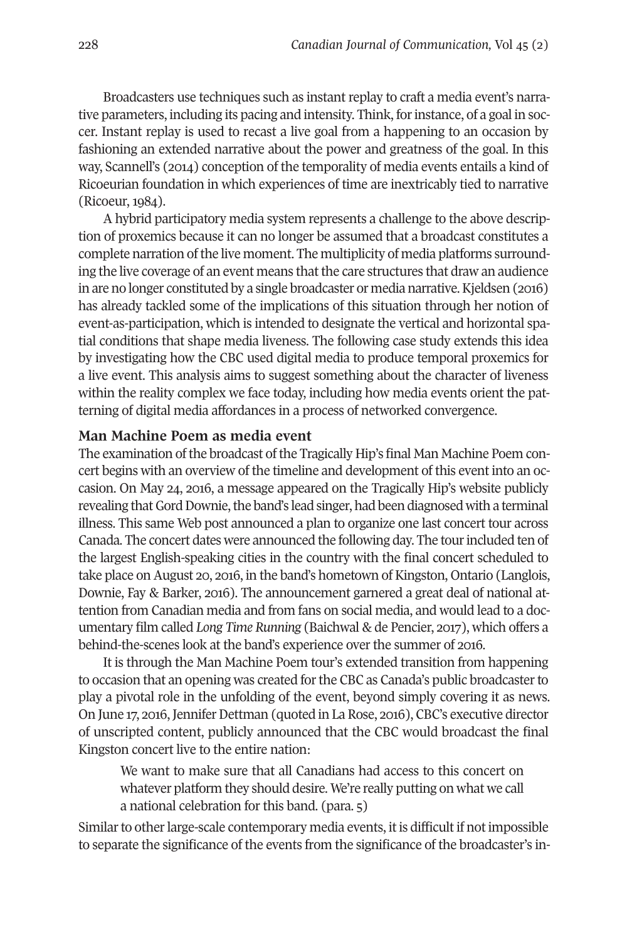Broadcasters use techniques such as instant replay to craft a media event's narrative parameters, including its pacing and intensity. Think, for instance, of a goal in soccer. Instant replay is used to recast a live goal from a happening to an occasion by fashioning an extended narrative about the power and greatness of the goal. In this way, Scannell's (2014) conception of the temporality of media events entails a kind of Ricoeurian foundation in which experiences of time are inextricably tied to narrative  $(Ricoeur, 1984)$ .

A hybrid participatory media system represents a challenge to the above description of proxemics because it can no longer be assumed that a broadcast constitutes a complete narration of the live moment. The multiplicity of media platforms surrounding the live coverage of an event means that the care structures that draw an audience in are no longer constituted by a single broadcaster or media narrative.Kjeldsen (2016) has already tackled some of the implications of this situation through her notion of event-as-participation, which is intended to designate the vertical and horizontal spatial conditions that shape media liveness. The following case study extends this idea by investigating how the CBC used digital media to produce temporal proxemics for a live event. This analysis aims to suggest something about the character of liveness within the reality complex we face today, including how media events orient the patterning of digital media affordances in a process of networked convergence.

### **Man Machine Poem as media event**

The examination of the broadcast of the Tragically Hip's final Man Machine Poem concert begins with an overview of the timeline and development of this event into an occasion. On May 24, 2016, a message appeared on the Tragically Hip's website publicly revealing that Gord Downie, the band's lead singer, had been diagnosed with a terminal illness. This same Web post announced a plan to organize one last concert tour across Canada. The concert dates were announced the following day. The tourincluded ten of the largest English-speaking cities in the country with the final concert scheduled to take place on August 20, 2016, in the band's hometown of Kingston, Ontario (Langlois, Downie, Fay & Barker, 2016). The announcement garnered a great deal of national attention from Canadian media and from fans on social media, and would lead to a documentary film called *Long Time Running* (Baichwal & de Pencier, 2017), which offers a behind-the-scenes look at the band's experience over the summer of 2016.

It is through the Man Machine Poem tour's extended transition from happening to occasion that an opening was created forthe CBC as Canada's public broadcasterto play a pivotal role in the unfolding of the event, beyond simply covering it as news. On June 17, 2016, Jennifer Dettman (quoted in La Rose, 2016), CBC's executive director of unscripted content, publicly announced that the CBC would broadcast the final Kingston concert live to the entire nation:

We want to make sure that all Canadians had access to this concert on whatever platform they should desire. We're really putting on what we call a national celebration for this band. (para. 5)

Similar to other large-scale contemporary media events, it is difficult if not impossible to separate the significance of the events from the significance of the broadcaster's in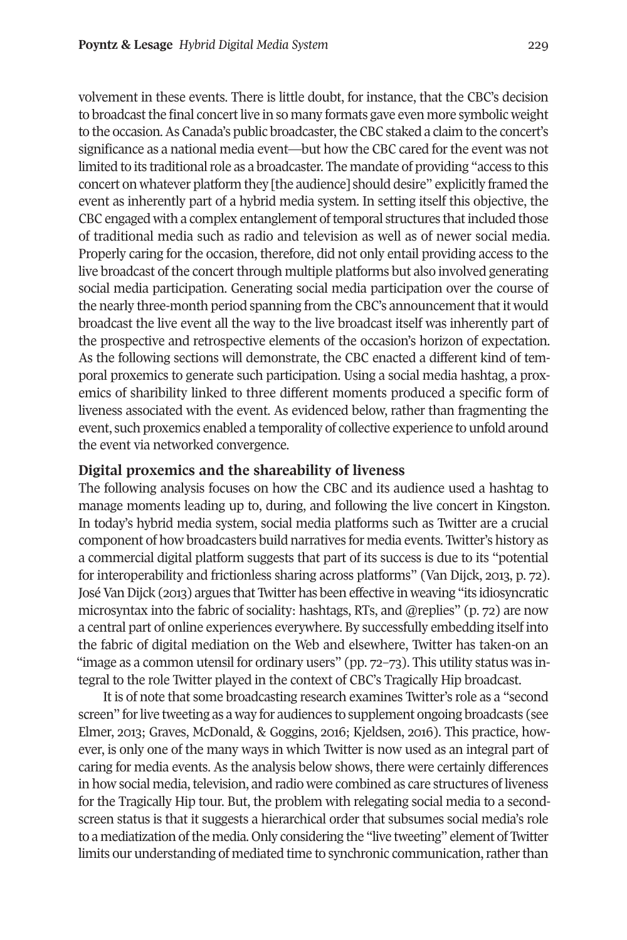volvement in these events. There is little doubt, for instance, that the CBC's decision to broadcast the final concert live in so many formats gave even more symbolic weight to the occasion. As Canada's public broadcaster, the CBC staked a claim to the concert's significance as a national media event—but how the CBC cared for the event was not limited to its traditional role as a broadcaster. The mandate of providing "access to this concert on whatever platform they [the audience] should desire" explicitly framed the event as inherently part of a hybrid media system. In setting itself this objective, the CBC engaged with a complex entanglement of temporal structures that included those of traditional media such as radio and television as well as of newer social media. Properly caring for the occasion, therefore, did not only entail providing access to the live broadcast of the concert through multiple platforms but also involved generating social media participation. Generating social media participation over the course of the nearly three-month period spanning from the CBC's announcement that it would broadcast the live event all the way to the live broadcast itself was inherently part of the prospective and retrospective elements of the occasion's horizon of expectation. As the following sections will demonstrate, the CBC enacted a different kind of temporal proxemics to generate such participation. Using a social media hashtag, a proxemics of sharibility linked to three different moments produced a specific form of liveness associated with the event. As evidenced below, rather than fragmenting the event, such proxemics enabled a temporality of collective experience to unfold around the event via networked convergence.

#### **Digital proxemics and the shareability of liveness**

The following analysis focuses on how the CBC and its audience used a hashtag to manage moments leading up to, during, and following the live concert in Kingston. In today's hybrid media system, social media platforms such as Twitter are a crucial component of how broadcasters build narratives for media events. Twitter's history as a commercial digital platform suggests that part of its success is due to its "potential for interoperability and frictionless sharing across platforms" (Van Dijck, 2013, p. 72). JoséVanDijck (2013) argues that Twitter has been effective in weaving "its idiosyncratic microsyntax into the fabric of sociality: hashtags, RTs, and @replies" (p. 72) are now a central part of online experiences everywhere. By successfully embedding itself into the fabric of digital mediation on the Web and elsewhere, Twitter has taken-on an "image as a common utensil for ordinary users" (pp. 72–73). This utility status was integral to the role Twitter played in the context of CBC's Tragically Hip broadcast.

It is of note that some broadcasting research examines Twitter's role as a "second screen" forlive tweeting as a way for audiences to supplement ongoing broadcasts (see Elmer, 2013; Graves, McDonald, & Goggins, 2016; Kjeldsen, 2016). This practice, however, is only one of the many ways in which Twitter is now used as an integral part of caring for media events. As the analysis below shows, there were certainly differences in how social media, television, and radio were combined as care structures of liveness for the Tragically Hip tour. But, the problem with relegating social media to a secondscreen status is that it suggests a hierarchical order that subsumes social media's role to a mediatization ofthe media. Only considering the "live tweeting" element of Twitter limits our understanding of mediated time to synchronic communication, rather than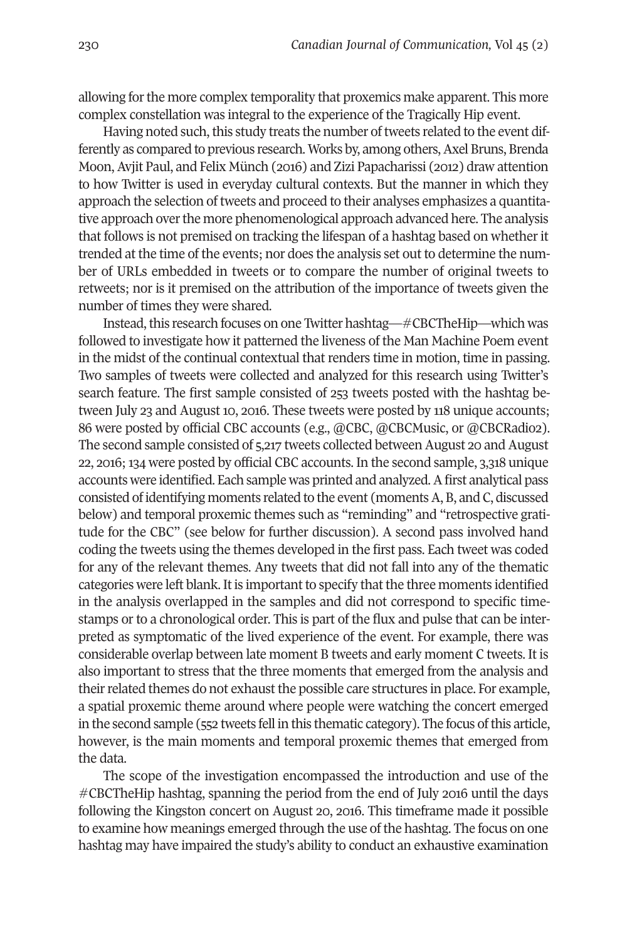allowing forthe more complex temporality that proxemics make apparent. This more complex constellation was integral to the experience of the Tragically Hip event.

Having noted such, this study treats the number of tweets related to the event differently as compared to previous research. Works by, among others, Axel Bruns, Brenda Moon,Avjit Paul, and Felix Münch (2016) and Zizi Papacharissi (2012) draw attention to how Twitter is used in everyday cultural contexts. But the manner in which they approach the selection oftweets and proceed to their analyses emphasizes a quantitative approach over the more phenomenological approach advanced here. The analysis that follows is not premised on tracking the lifespan of a hashtag based on whether it trended at the time of the events; nor does the analysis set out to determine the number of URLs embedded in tweets or to compare the number of original tweets to retweets; nor is it premised on the attribution of the importance of tweets given the number of times they were shared.

Instead, this research focuses on one Twitter hashtag—#CBCTheHip—which was followed to investigate how it patterned the liveness of the Man Machine Poem event in the midst of the continual contextual that renders time in motion, time in passing. Two samples of tweets were collected and analyzed for this research using Twitter's search feature. The first sample consisted of 253 tweets posted with the hashtag between July 23 and August 10, 2016. These tweets were posted by 118 unique accounts; 86 were posted by official CBC accounts (e.g., @CBC, @CBCMusic, or @CBCRadio2). The second sample consisted of 5,217 tweets collected between August 20 and August 22, 2016;130 were posted by official CBC accounts. In the second sample, 3,318 unique accounts were identified. Each sample was printed and analyzed.Afirst analytical pass consisted of identifying moments related to the event (momentsA, B, and C, discussed below) and temporal proxemic themes such as "reminding" and "retrospective gratitude for the CBC" (see below for further discussion). A second pass involved hand coding the tweets using the themes developed in the first pass. Each tweet was coded for any of the relevant themes. Any tweets that did not fall into any of the thematic categories were left blank. It is important to specify that the three moments identified in the analysis overlapped in the samples and did not correspond to specific timestamps or to a chronological order. This is part of the flux and pulse that can be interpreted as symptomatic of the lived experience of the event. For example, there was considerable overlap between late moment B tweets and early moment C tweets. It is also important to stress that the three moments that emerged from the analysis and their related themes do not exhaust the possible care structures in place. For example, a spatial proxemic theme around where people were watching the concert emerged in the second sample (552 tweets fell in this thematic category). The focus of this article, however, is the main moments and temporal proxemic themes that emerged from the data.

The scope of the investigation encompassed the introduction and use of the #CBCTheHip hashtag, spanning the period from the end of July 2016 until the days following the Kingston concert on August 20, 2016. This timeframe made it possible to examine how meanings emerged through the use of the hashtag. The focus on one hashtag may have impaired the study's ability to conduct an exhaustive examination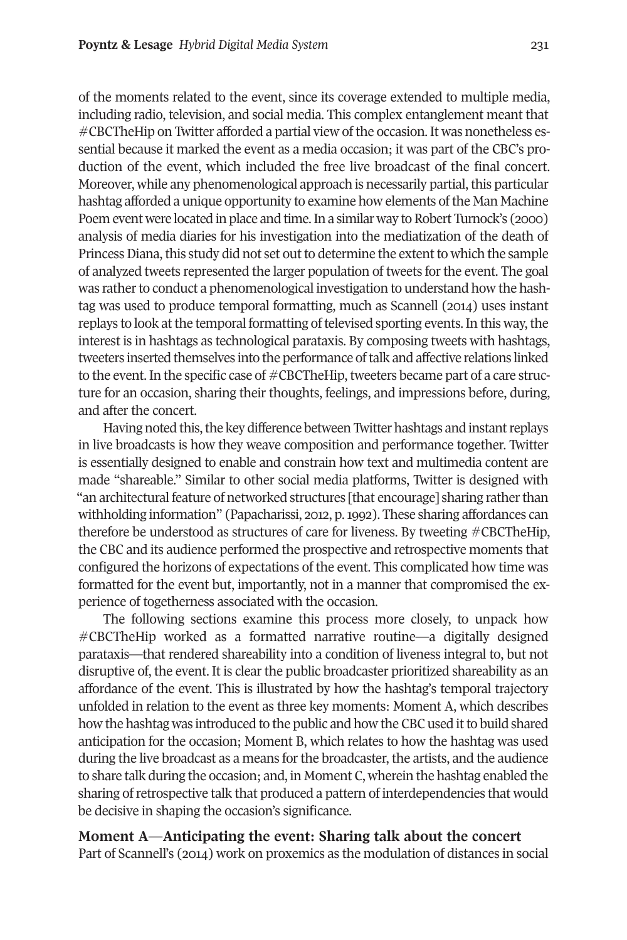of the moments related to the event, since its coverage extended to multiple media, including radio, television, and social media. This complex entanglement meant that  $\#$ CBCTheHip on Twitter afforded a partial view of the occasion. It was nonetheless essential because it marked the event as a media occasion; it was part of the CBC's production of the event, which included the free live broadcast of the final concert. Moreover, while any phenomenological approach is necessarily partial, this particular hashtag afforded a unique opportunity to examine how elements of the Man Machine Poem event were located in place and time. In a similar way to Robert Turnock's (2000) analysis of media diaries for his investigation into the mediatization of the death of Princess Diana, this study did not set out to determine the extent to which the sample of analyzed tweets represented the larger population of tweets forthe event. The goal was rather to conduct a phenomenological investigation to understand how the hashtag was used to produce temporal formatting, much as Scannell (2014) uses instant replays to look at the temporal formatting of televised sporting events. In this way, the interest is in hashtags as technological parataxis. By composing tweets with hashtags, tweeters inserted themselves into the performance oftalk and affective relations linked to the event. In the specific case of  $\#CBCThe Hip$ , tweeters became part of a care structure for an occasion, sharing their thoughts, feelings, and impressions before, during, and after the concert.

Having noted this, the key difference between Twitter hashtags and instant replays in live broadcasts is how they weave composition and performance together. Twitter is essentially designed to enable and constrain how text and multimedia content are made "shareable." Similar to other social media platforms, Twitter is designed with "an architectural feature of networked structures [that encourage] sharing ratherthan withholding information" (Papacharissi, 2012, p.1992). These sharing affordances can therefore be understood as structures of care for liveness. By tweeting #CBCTheHip, the CBC and its audience performed the prospective and retrospective moments that configured the horizons of expectations of the event. This complicated how time was formatted for the event but, importantly, not in a manner that compromised the experience of togetherness associated with the occasion.

The following sections examine this process more closely, to unpack how #CBCTheHip worked as a formatted narrative routine—a digitally designed parataxis—that rendered shareability into a condition of liveness integral to, but not disruptive of, the event. It is clear the public broadcaster prioritized shareability as an affordance of the event. This is illustrated by how the hashtag's temporal trajectory unfolded in relation to the event as three key moments: Moment A, which describes how the hashtag was introduced to the public and how the CBC used it to build shared anticipation for the occasion; Moment B, which relates to how the hashtag was used during the live broadcast as a means forthe broadcaster, the artists, and the audience to share talk during the occasion; and, in Moment C, wherein the hashtag enabled the sharing ofretrospective talk that produced a pattern of interdependencies that would be decisive in shaping the occasion's significance.

#### **Moment A—Anticipating the event: Sharing talk about the concert**

Part of Scannell's (2014) work on proxemics as the modulation of distances in social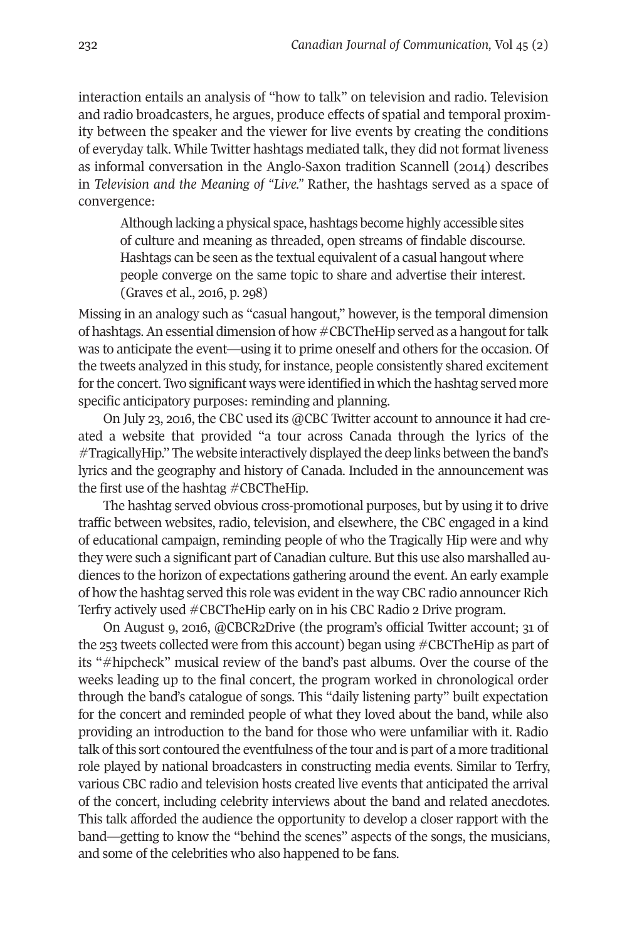interaction entails an analysis of "how to talk" on television and radio. Television and radio broadcasters, he argues, produce effects of spatial and temporal proximity between the speaker and the viewer for live events by creating the conditions of everyday talk. While Twitter hashtags mediated talk, they did not format liveness as informal conversation in the Anglo-Saxon tradition Scannell (2014) describes in *Television and the Meaning of "Live."* Rather, the hashtags served as a space of convergence:

Although lacking a physical space, hashtags become highly accessible sites of culture and meaning as threaded, open streams of findable discourse. Hashtags can be seen as the textual equivalent of a casual hangout where people converge on the same topic to share and advertise their interest. (Graves et al., 2016, p. 298)

Missing in an analogy such as "casual hangout," however, is the temporal dimension of hashtags. An essential dimension of how #CBCTheHip served as a hangout for talk was to anticipate the event—using it to prime oneself and others for the occasion. Of the tweets analyzed in this study, for instance, people consistently shared excitement forthe concert. Two significant ways were identified in which the hashtag served more specific anticipatory purposes: reminding and planning.

On July 23, 2016, the CBC used its @CBC Twitter account to announce it had created a website that provided "a tour across Canada through the lyrics of the #TragicallyHip." The website interactively displayed the deep links between the band's lyrics and the geography and history of Canada. Included in the announcement was the first use of the hashtag #CBCTheHip.

The hashtag served obvious cross-promotional purposes, but by using it to drive traffic between websites, radio, television, and elsewhere, the CBC engaged in a kind of educational campaign, reminding people of who the Tragically Hip were and why they were such a significant part of Canadian culture. But this use also marshalled audiences to the horizon of expectations gathering around the event. An early example of how the hashtag served this role was evident in the way CBC radio announcer Rich Terfry actively used #CBCTheHip early on in his CBC Radio 2 Drive program.

On August 9, 2016, @CBCR2Drive (the program's official Twitter account; 31 of the 253 tweets collected were from this account) began using  $\#$ CBCTheHip as part of its "#hipcheck" musical review of the band's past albums. Over the course of the weeks leading up to the final concert, the program worked in chronological order through the band's catalogue of songs. This "daily listening party" built expectation for the concert and reminded people of what they loved about the band, while also providing an introduction to the band for those who were unfamiliar with it. Radio talk of this sort contoured the eventfulness of the tour and is part of a more traditional role played by national broadcasters in constructing media events. Similar to Terfry, various CBC radio and television hosts created live events that anticipated the arrival of the concert, including celebrity interviews about the band and related anecdotes. This talk afforded the audience the opportunity to develop a closer rapport with the band—getting to know the "behind the scenes" aspects of the songs, the musicians, and some of the celebrities who also happened to be fans.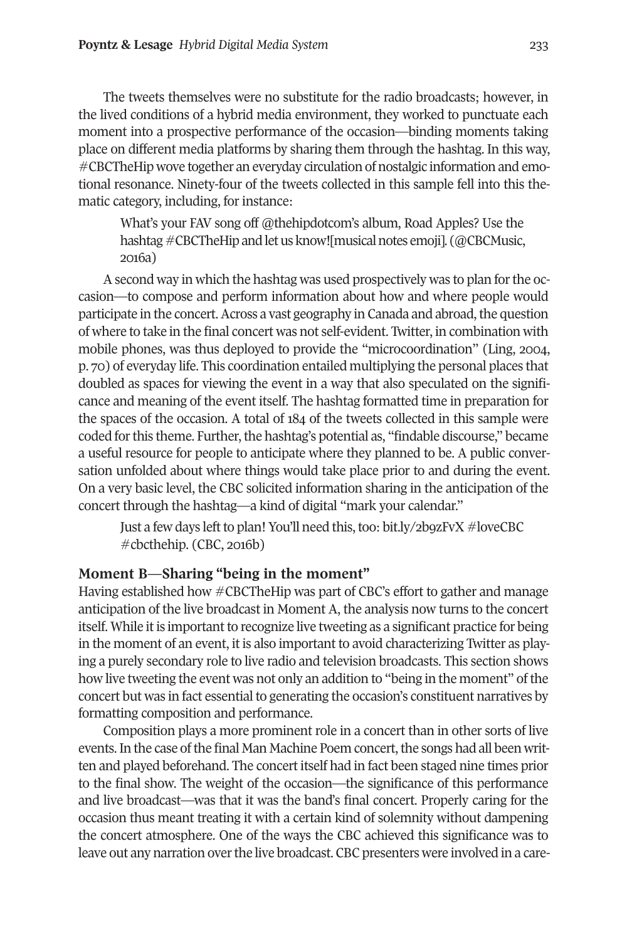The tweets themselves were no substitute for the radio broadcasts; however, in the lived conditions of a hybrid media environment, they worked to punctuate each moment into a prospective performance of the occasion—binding moments taking place on different media platforms by sharing them through the hashtag. In this way, #CBCTheHip wove together an everyday circulation of nostalgic information and emotional resonance. Ninety-four of the tweets collected in this sample fell into this thematic category, including, for instance:

What's your FAV song off @thehipdotcom's album, Road Apples? Use the hashtag #CBCTheHip and let us know![musical notes emoji]. (@CBCMusic, 2016a)

Asecond way in which the hashtag was used prospectively was to plan forthe occasion—to compose and perform information about how and where people would participate in the concert. Across a vast geography in Canada and abroad, the question of where to take in the final concert was not self-evident. Twitter, in combination with mobile phones, was thus deployed to provide the "microcoordination" (Ling, 2004, p. 70) of everyday life. This coordination entailed multiplying the personal places that doubled as spaces for viewing the event in a way that also speculated on the significance and meaning of the event itself. The hashtag formatted time in preparation for the spaces of the occasion. A total of 184 of the tweets collected in this sample were coded for this theme. Further, the hashtag's potential as, "findable discourse," became a useful resource for people to anticipate where they planned to be. A public conversation unfolded about where things would take place prior to and during the event. On a very basic level, the CBC solicited information sharing in the anticipation of the concert through the hashtag—a kind of digital "mark your calendar."

Just a few days left to plan! You'll need this, too: bit.ly/2b9zFvX #loveCBC #cbcthehip. (CBC, 2016b)

### **Moment B—Sharing "being in the moment"**

Having established how #CBCTheHip was part of CBC's effort to gather and manage anticipation of the live broadcast in Moment A, the analysis now turns to the concert itself. While it is important to recognize live tweeting as a significant practice for being in the moment of an event, it is also important to avoid characterizing Twitter as playing a purely secondary role to live radio and television broadcasts. This section shows how live tweeting the event was not only an addition to "being in the moment" of the concert but was in fact essential to generating the occasion's constituent narratives by formatting composition and performance.

Composition plays a more prominent role in a concert than in other sorts of live events. In the case of the final Man Machine Poem concert, the songs had all been written and played beforehand. The concert itself had in fact been staged nine times prior to the final show. The weight of the occasion—the significance of this performance and live broadcast—was that it was the band's final concert. Properly caring for the occasion thus meant treating it with a certain kind of solemnity without dampening the concert atmosphere. One of the ways the CBC achieved this significance was to leave out any narration overthe live broadcast. CBC presenters were involved in a care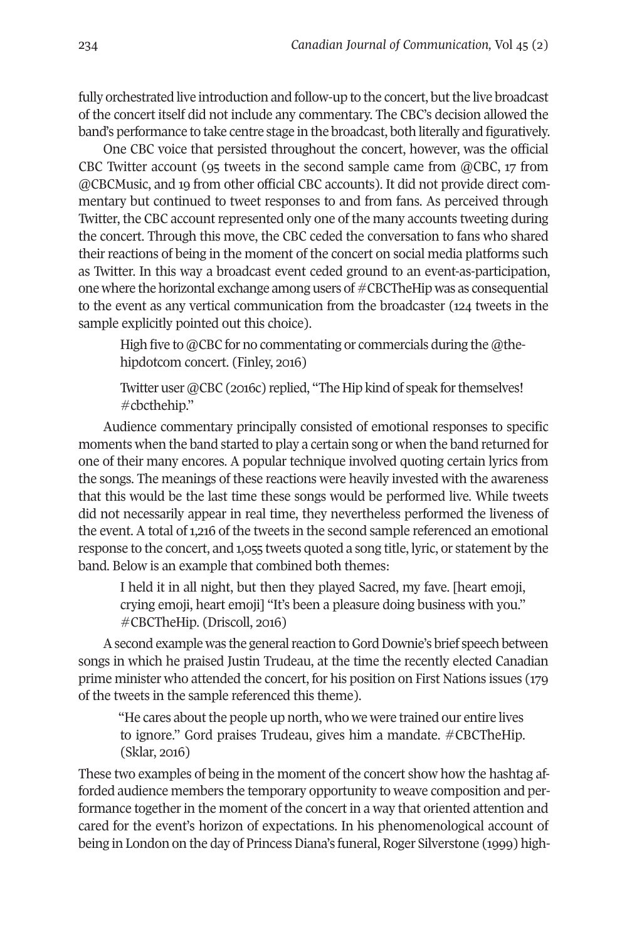fully orchestrated live introduction and follow-up to the concert, but the live broadcast of the concert itself did not include any commentary. The CBC's decision allowed the band's performance to take centre stage in the broadcast, both literally and figuratively.

One CBC voice that persisted throughout the concert, however, was the official CBC Twitter account (95 tweets in the second sample came from  $@CBC$ , 17 from @CBCMusic, and 19 from other official CBC accounts). It did not provide direct commentary but continued to tweet responses to and from fans. As perceived through Twitter, the CBC account represented only one of the many accounts tweeting during the concert. Through this move, the CBC ceded the conversation to fans who shared their reactions of being in the moment of the concert on social media platforms such as Twitter. In this way a broadcast event ceded ground to an event-as-participation, one where the horizontal exchange among users of  $\#$ CBCTheHip was as consequential to the event as any vertical communication from the broadcaster (120 tweets in the sample explicitly pointed out this choice).

High five to @CBC for no commentating or commercials during the @thehipdotcom concert. (Finley, 2016)

Twitter user @CBC (2016c) replied, "The Hip kind of speak for themselves! #cbcthehip."

Audience commentary principally consisted of emotional responses to specific moments when the band started to play a certain song or when the band returned for one of their many encores. A popular technique involved quoting certain lyrics from the songs. The meanings of these reactions were heavily invested with the awareness that this would be the last time these songs would be performed live. While tweets did not necessarily appear in real time, they nevertheless performed the liveness of the event. A total of 1,216 of the tweets in the second sample referenced an emotional response to the concert, and 1,055 tweets quoted a song title, lyric, or statement by the band. Below is an example that combined both themes:

I held it in all night, but then they played Sacred, my fave. [heart emoji, crying emoji, heart emoji] "It's been a pleasure doing business with you." #CBCTheHip. (Driscoll, 2016)

A second example was the general reaction to Gord Downie's brief speech between songs in which he praised Justin Trudeau, at the time the recently elected Canadian prime minister who attended the concert, for his position on First Nations issues (179 of the tweets in the sample referenced this theme).

"He cares about the people up north, who we were trained our entire lives to ignore." Gord praises Trudeau, gives him a mandate. #CBCTheHip. (Sklar, 2016)

These two examples of being in the moment of the concert show how the hashtag afforded audience members the temporary opportunity to weave composition and performance together in the moment of the concert in a way that oriented attention and cared for the event's horizon of expectations. In his phenomenological account of being in London on the day of Princess Diana's funeral, Roger Silverstone (1999) high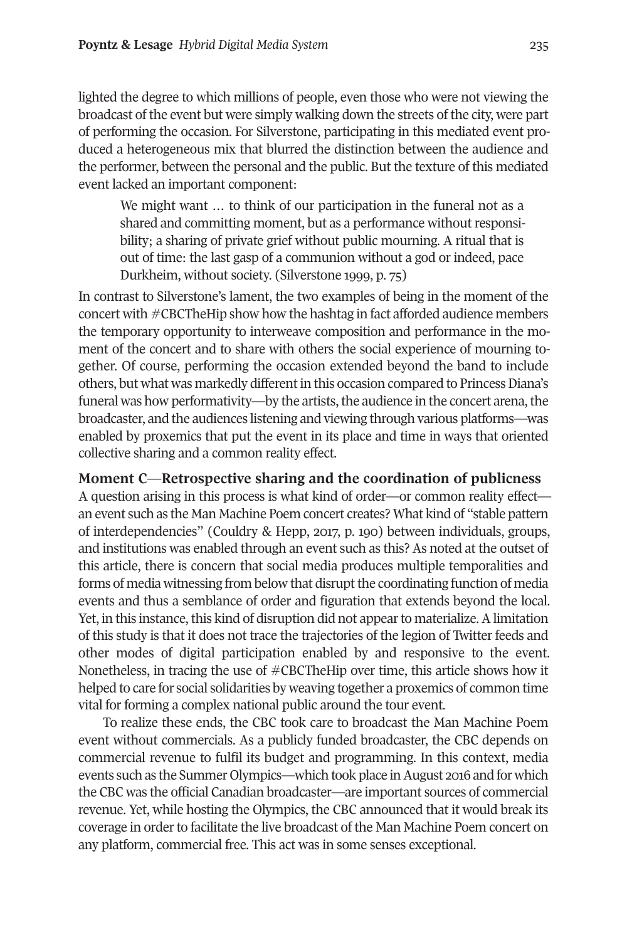lighted the degree to which millions of people, even those who were not viewing the broadcast of the event but were simply walking down the streets of the city, were part of performing the occasion. For Silverstone, participating in this mediated event produced a heterogeneous mix that blurred the distinction between the audience and the performer, between the personal and the public. But the texture of this mediated event lacked an important component:

We might want … to think of our participation in the funeral not as a shared and committing moment, but as a performance without responsibility; a sharing of private grief without public mourning. A ritual that is out of time: the last gasp of a communion without a god or indeed, pace Durkheim, without society. (Silverstone 1999, p. 75)

In contrast to Silverstone's lament, the two examples of being in the moment of the concert with #CBCTheHip show how the hashtag in fact afforded audience members the temporary opportunity to interweave composition and performance in the moment of the concert and to share with others the social experience of mourning together. Of course, performing the occasion extended beyond the band to include others, but what was markedly differentin this occasion compared to PrincessDiana's funeral was how performativity—by the artists, the audience in the concert arena, the broadcaster, and the audiences listening and viewing through various platforms—was enabled by proxemics that put the event in its place and time in ways that oriented collective sharing and a common reality effect.

## **Moment C—Retrospective sharing and the coordination of publicness**

A question arising in this process is what kind of order—or common reality effect an event such as the Man Machine Poem concert creates? What kind of "stable pattern of interdependencies" (Couldry & Hepp, 2017, p. 190) between individuals, groups, and institutions was enabled through an event such as this? As noted at the outset of this article, there is concern that social media produces multiple temporalities and forms of media witnessing from below that disrupt the coordinating function of media events and thus a semblance of order and figuration that extends beyond the local. Yet, in this instance, this kind of disruption did not appear to materialize. A limitation of this study is that it does not trace the trajectories of the legion of Twitter feeds and other modes of digital participation enabled by and responsive to the event. Nonetheless, in tracing the use of #CBCTheHip over time, this article shows how it helped to care for social solidarities by weaving together a proxemics of common time vital for forming a complex national public around the tour event.

To realize these ends, the CBC took care to broadcast the Man Machine Poem event without commercials. As a publicly funded broadcaster, the CBC depends on commercial revenue to fulfil its budget and programming. In this context, media events such as the Summer Olympics—which took place in August 2016 and for which the CBC was the official Canadian broadcaster—are important sources of commercial revenue. Yet, while hosting the Olympics, the CBC announced that it would break its coverage in order to facilitate the live broadcast of the Man Machine Poem concert on any platform, commercial free. This act was in some senses exceptional.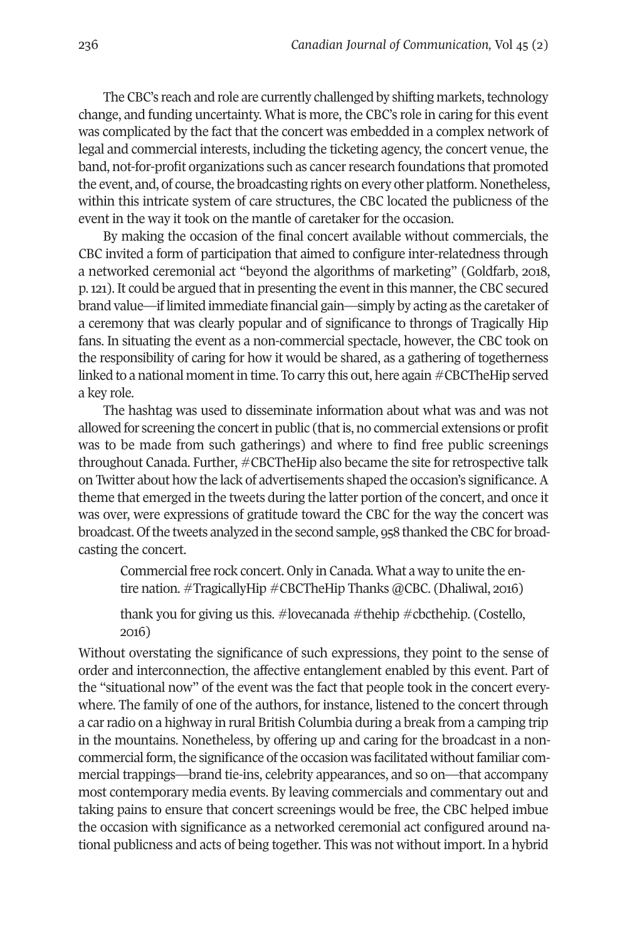The CBC's reach and role are currently challenged by shifting markets, technology change, and funding uncertainty. What is more, the CBC's role in caring forthis event was complicated by the fact that the concert was embedded in a complex network of legal and commercial interests, including the ticketing agency, the concert venue, the band, not-for-profit organizations such as cancerresearch foundations that promoted the event, and, of course, the broadcasting rights on every other platform. Nonetheless, within this intricate system of care structures, the CBC located the publicness of the event in the way it took on the mantle of caretaker for the occasion.

By making the occasion of the final concert available without commercials, the CBC invited a form of participation that aimed to configure inter-relatedness through a networked ceremonial act "beyond the algorithms of marketing" (Goldfarb, 2018, p. 121). It could be argued that in presenting the event in this manner, the CBC secured brand value—if limited immediate financial gain—simply by acting as the caretaker of a ceremony that was clearly popular and of significance to throngs of Tragically Hip fans. In situating the event as a non-commercial spectacle, however, the CBC took on the responsibility of caring for how it would be shared, as a gathering of togetherness linked to a national moment in time. To carry this out, here again  $\#\mathrm{CBCTheHip}$  served a key role.

The hashtag was used to disseminate information about what was and was not allowed for screening the concertin public (thatis, no commercial extensions or profit was to be made from such gatherings) and where to find free public screenings throughout Canada. Further, #CBCTheHip also became the site for retrospective talk on Twitter about how the lack of advertisements shaped the occasion's significance.A theme that emerged in the tweets during the latter portion of the concert, and once it was over, were expressions of gratitude toward the CBC for the way the concert was broadcast. Ofthe tweets analyzed in the second sample, 958 thanked the CBC for broadcasting the concert.

Commercial free rock concert. Only in Canada. What a way to unite the entire nation. #TragicallyHip #CBCTheHip Thanks @CBC. (Dhaliwal, 2016)

thank you for giving us this. #lovecanada #thehip #cbcthehip. (Costello, 2016)

Without overstating the significance of such expressions, they point to the sense of order and interconnection, the affective entanglement enabled by this event. Part of the "situational now" of the event was the fact that people took in the concert everywhere. The family of one of the authors, for instance, listened to the concert through a carradio on a highway in rural British Columbia during a break from a camping trip in the mountains. Nonetheless, by offering up and caring for the broadcast in a noncommercial form, the significance of the occasion was facilitated without familiar commercial trappings—brand tie-ins, celebrity appearances, and so on—that accompany most contemporary media events. By leaving commercials and commentary out and taking pains to ensure that concert screenings would be free, the CBC helped imbue the occasion with significance as a networked ceremonial act configured around national publicness and acts of being together. This was not without import. In a hybrid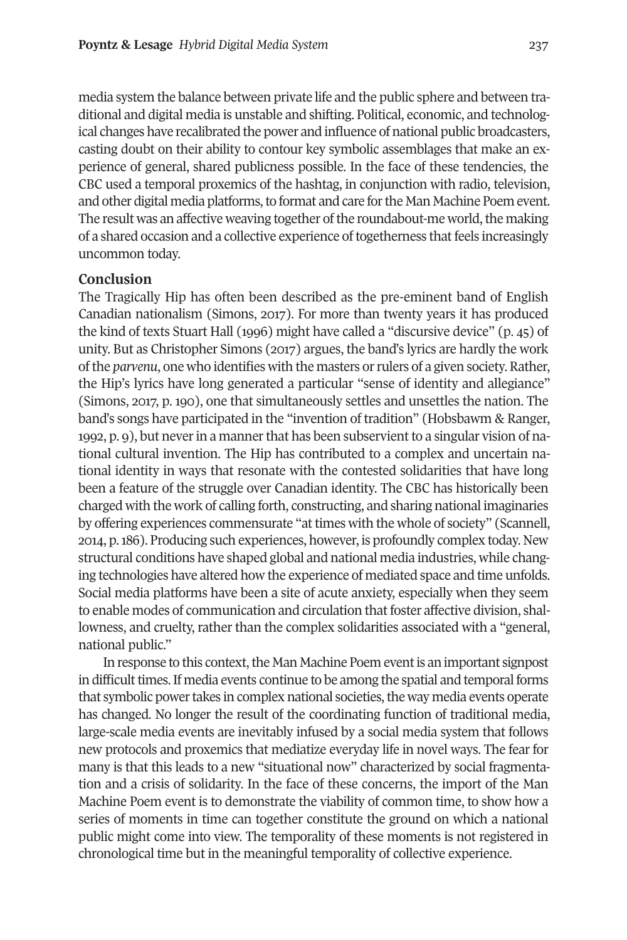media system the balance between private life and the public sphere and between traditional and digital media is unstable and shifting. Political, economic, and technological changes have recalibrated the power and influence of national public broadcasters, casting doubt on their ability to contour key symbolic assemblages that make an experience of general, shared publicness possible. In the face of these tendencies, the CBC used a temporal proxemics of the hashtag, in conjunction with radio, television, and other digital media platforms, to format and care for the Man Machine Poem event. The result was an affective weaving together of the roundabout-me world, the making of a shared occasion and a collective experience of togetherness that feels increasingly uncommon today.

#### **Conclusion**

The Tragically Hip has often been described as the pre-eminent band of English Canadian nationalism (Simons, 2017). For more than twenty years it has produced the kind of texts Stuart Hall (1996) might have called a "discursive device" (p. 45) of unity. But as Christopher Simons (2017) argues, the band's lyrics are hardly the work ofthe *parvenu*, one who identifies with the masters orrulers of a given society. Rather, the Hip's lyrics have long generated a particular "sense of identity and allegiance" (Simons, 2017, p. 190), one that simultaneously settles and unsettles the nation. The band's songs have participated in the "invention of tradition" (Hobsbawm & Ranger, 1992, p. 9), but neverin a mannerthat has been subservient to a singular vision of national cultural invention. The Hip has contributed to a complex and uncertain national identity in ways that resonate with the contested solidarities that have long been a feature of the struggle over Canadian identity. The CBC has historically been charged with the work of calling forth, constructing, and sharing national imaginaries by offering experiences commensurate "attimes with the whole of society" (Scannell, 2010, p.186). Producing such experiences, however, is profoundly complex today. New structural conditions have shaped global and national media industries, while changing technologies have altered how the experience of mediated space and time unfolds. Social media platforms have been a site of acute anxiety, especially when they seem to enable modes of communication and circulation that foster affective division, shallowness, and cruelty, rather than the complex solidarities associated with a "general, national public."

In response to this context, the Man Machine Poem event is an important signpost in difficult times. If media events continue to be among the spatial and temporal forms that symbolic power takes in complex national societies, the way media events operate has changed. No longer the result of the coordinating function of traditional media, large-scale media events are inevitably infused by a social media system that follows new protocols and proxemics that mediatize everyday life in novel ways. The fear for many is that this leads to a new "situational now" characterized by social fragmentation and a crisis of solidarity. In the face of these concerns, the import of the Man Machine Poem event is to demonstrate the viability of common time, to show how a series of moments in time can together constitute the ground on which a national public might come into view. The temporality of these moments is not registered in chronological time but in the meaningful temporality of collective experience.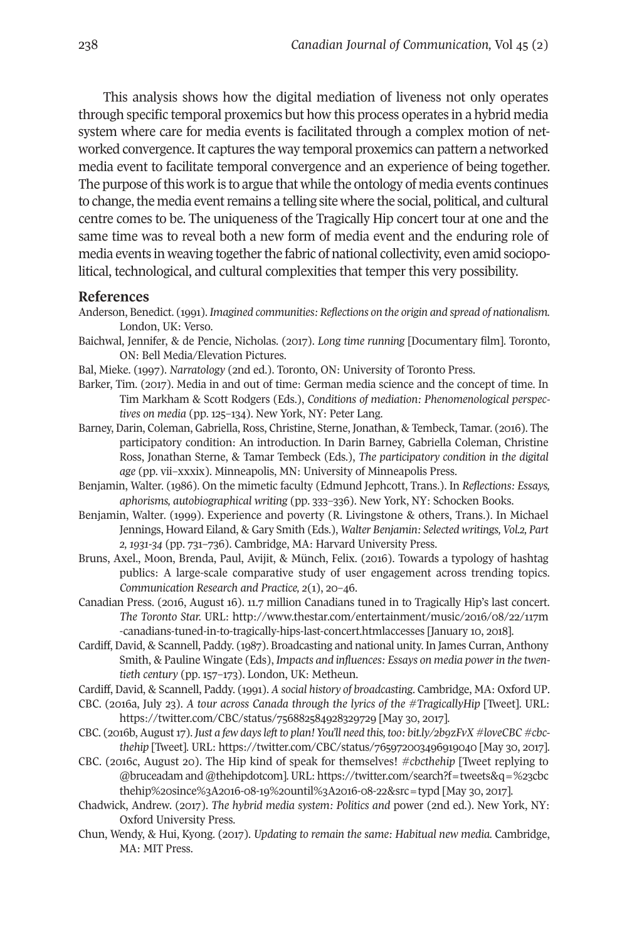This analysis shows how the digital mediation of liveness not only operates through specific temporal proxemics but how this process operates in a hybrid media system where care for media events is facilitated through a complex motion of networked convergence.It captures the way temporal proxemics can pattern a networked media event to facilitate temporal convergence and an experience of being together. The purpose ofthis work is to argue that while the ontology of media events continues to change, the media event remains a telling site where the social, political, and cultural centre comes to be. The uniqueness of the Tragically Hip concert tour at one and the same time was to reveal both a new form of media event and the enduring role of media events in weaving together the fabric of national collectivity, even amid sociopolitical, technological, and cultural complexities that temper this very possibility.

#### **References**

- Anderson, Benedict. (1991). *Imagined communities: Reflections on the origin and spread of nationalism.* London, UK: Verso.
- Baichwal, Jennifer, & de Pencie, Nicholas. (2017). *Long time running* [Documentary film]. Toronto, ON: Bell Media/Elevation Pictures.
- Bal, Mieke. (1997). *Narratology* (2nd ed.). Toronto, ON: University of Toronto Press.
- Barker, Tim. (2017). Media in and out of time: German media science and the concept of time. In Tim Markham & Scott Rodgers (Eds.), *Conditions of mediation: Phenomenological perspectives on media* (pp. 125–130). New York, NY: Peter Lang.
- Barney, Darin, Coleman, Gabriella, Ross, Christine, Sterne, Jonathan, & Tembeck, Tamar. (2016). The participatory condition: An introduction. In Darin Barney, Gabriella Coleman, Christine Ross, Jonathan Sterne, & Tamar Tembeck (Eds.), *The participatory condition in the digital age* (pp. vii–xxxix). Minneapolis, MN: University of Minneapolis Press.
- Benjamin, Walter. (1986). On the mimetic faculty (Edmund Jephcott, Trans.). In *Reflections: Essays, aphorisms, autobiographical writing* (pp. 333–336). New York, NY: Schocken Books.
- Benjamin, Walter. (1999). Experience and poverty (R. Livingstone & others, Trans.). In Michael Jennings, Howard Eiland, & Gary Smith (Eds.), *Walter Benjamin: Selected writings, Vol.2, Part 2, 1931-34* (pp. 731–736). Cambridge, MA: Harvard University Press.
- Bruns, Axel., Moon, Brenda, Paul, Avijit, & Münch, Felix. (2016). Towards a typology of hashtag publics: A large-scale comparative study of user engagement across trending topics. *Communication Research and Practice,*  $2(1)$ , 20-46.
- Canadian Press. (2016, August 16). 11.7 million Canadians tuned in to Tragically Hip's last concert. *The Toronto Star.* URL: [http://www.thestar.com/entertainment/music/2016/08/22/117m](http://www.thestar.com/entertainment/music/2016/08/22/117m-canadians-tuned-in-to-tragically-hips-last-concert.htmlaccesses) [-canadians-tuned-in-to-tragically-hips-last-concert.htmlaccesses](http://www.thestar.com/entertainment/music/2016/08/22/117m-canadians-tuned-in-to-tragically-hips-last-concert.htmlaccesses) [January 10, 2018].
- Cardiff, David, & Scannell, Paddy. (1987). Broadcasting and national unity. In James Curran, Anthony Smith, & Pauline Wingate (Eds), *Impacts and influences: Essays on media powerin the twentieth century* (pp. 157–173). London, UK: Metheun.
- Cardiff, David, & Scannell, Paddy. (1991). *A social history of broadcasting*. Cambridge, MA: Oxford UP.
- CBC. (2016a, July 23). *A tour across Canada through the lyrics of the #TragicallyHip* [Tweet]. URL: https://twitter.com/CBC/status/756882584928329729 [May 30, 2017].
- CBC. (2016b, August17). *Just a few daysleft to plan! You'll need this, too: bit.ly/2b9zFvX #loveCBC #cbc*thehip [Tweet]. URL: https://twitter.com/CBC/status/765972003496919040 [May 30, 2017].
- CBC. (2016c, August 20). The Hip kind of speak for themselves! *#cbcthehip* [Tweet replying to @bruceadam and @thehipdotcom]. URL: [https://twitter.com/search?f=tweets&q=%23cbc](https://twitter.com/search?f=tweets&q=%23cbcthehip%20since%3A2016-08-19%20until%3A2016-08-22&src=typd) [thehip%20since%3A2016-08-19%20until%3A2016-08-22&src=typd](https://twitter.com/search?f=tweets&q=%23cbcthehip%20since%3A2016-08-19%20until%3A2016-08-22&src=typd) [May 30, 2017].
- Chadwick, Andrew. (2017). *The hybrid media system: Politics and* power (2nd ed.). New York, NY: Oxford University Press.
- Chun, Wendy, & Hui, Kyong. (2017). *Updating to remain the same: Habitual new media.* Cambridge, MA: MIT Press.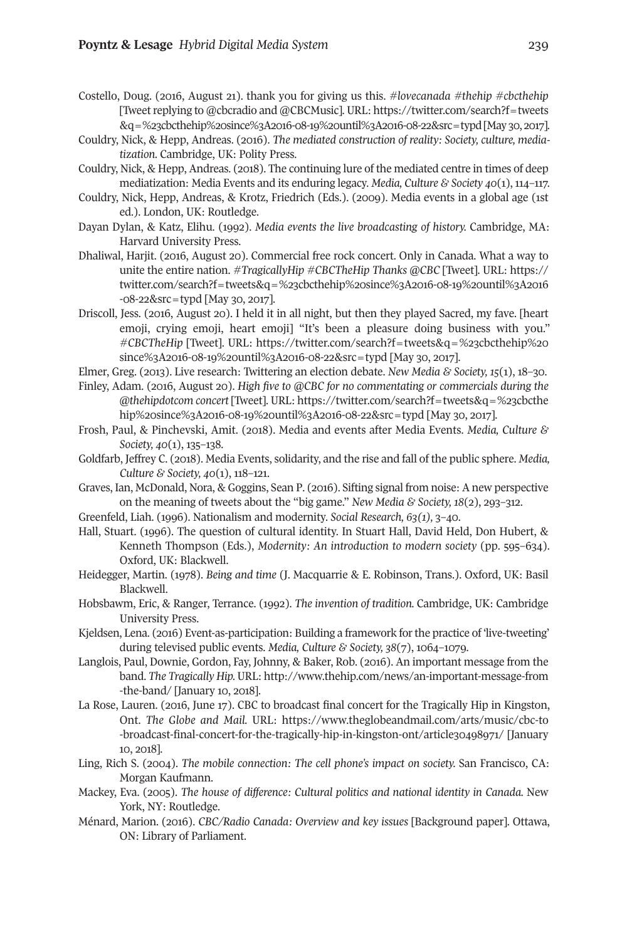- Costello, Doug. (2016, August 21). thank you for giving us this. *#lovecanada #thehip #cbcthehip* [Tweetreplying to @cbcradio and @CBCMusic]. URL: [https://twitter.com/search?f=tweets](https://twitter.com/search?f=tweets&q=%23cbcthehip%20since%3A2016-08-19%20until%3A2016-08-22&src=typd) [&q=%23cbcthehip%20since%3A2016-08-19%20until%3A2016-08-22&src=typd](https://twitter.com/search?f=tweets&q=%23cbcthehip%20since%3A2016-08-19%20until%3A2016-08-22&src=typd) [May 30, 2017].
- Couldry, Nick, & Hepp, Andreas. (2016). *The mediated construction of reality: Society, culture, mediatization.* Cambridge, UK: Polity Press.
- Couldry, Nick, & Hepp, Andreas. (2018). The continuing lure of the mediated centre in times of deep mediatization: Media Events and its enduring legacy. *Media, Culture & Society 40*(1), 110–117.
- Couldry, Nick, Hepp, Andreas, & Krotz, Friedrich (Eds.). (2009). Media events in a global age (1st ed.). London, UK: Routledge.
- Dayan Dylan, & Katz, Elihu. (1992). *Media events the live broadcasting of history.* Cambridge, MA: Harvard University Press.
- Dhaliwal, Harjit. (2016, August 20). Commercial free rock concert. Only in Canada. What a way to unite the entire nation. *#TragicallyHip #CBCTheHip Thanks @CBC* [Tweet]. URL: [https://](https://twitter.com/search?f=tweets&q=%23cbcthehip%20since%3A2016-08-19%20until%3A2016-08-22&src=typd) [twitter.com/search?f=tweets&q=%23cbcthehip%20since%3A2016-08-19%20until%3A2016](https://twitter.com/search?f=tweets&q=%23cbcthehip%20since%3A2016-08-19%20until%3A2016-08-22&src=typd) [-08-22&src=typd](https://twitter.com/search?f=tweets&q=%23cbcthehip%20since%3A2016-08-19%20until%3A2016-08-22&src=typd) [May 30, 2017].
- Driscoll, Jess. (2016, August 20). I held it in all night, but then they played Sacred, my fave. [heart emoji, crying emoji, heart emoji] "It's been a pleasure doing business with you." *#CBCTheHip* [Tweet]. URL: [https://twitter.com/search?f=tweets&q=%23cbcthehip%20](https://twitter.com/search?f=tweets&q=%23cbcthehip%20since%3A2016-08-19%20until%3A2016-08-22&src=typd) [since%3A2016-08-19%20until%3A2016-08-22&src=typd](https://twitter.com/search?f=tweets&q=%23cbcthehip%20since%3A2016-08-19%20until%3A2016-08-22&src=typd) [May 30, 2017].
- Elmer, Greg. (2013). Live research: Twittering an election debate. *New Media & Society, 15*(1), 18–30.
- Finley, Adam. (2016, August 20). *High five to @CBC for no commentating or commercials during the @thehipdotcom concert* [Tweet]. URL: [https://twitter.com/search?f=tweets&q=%23cbcthe](https://twitter.com/search?f=tweets&q=%23cbcthehip%20since%3A2016-08-19%20until%3A2016-08-22&src=typd) [hip%20since%3A2016-08-19%20until%3A2016-08-22&src=typd](https://twitter.com/search?f=tweets&q=%23cbcthehip%20since%3A2016-08-19%20until%3A2016-08-22&src=typd) [May 30, 2017].
- Frosh, Paul, & Pinchevski, Amit. (2018). Media and events after Media Events. *Media, Culture & Society, 40*(1), 135–138.
- Goldfarb, Jeffrey C. (2018). Media Events, solidarity, and the rise and fall of the public sphere. *Media, Culture & Society, 40*(1), 118–121.
- Graves, Ian, McDonald, Nora, & Goggins, Sean P. (2016). Sifting signal from noise: A new perspective on the meaning of tweets about the "big game." *New Media & Society, 18*(2), 293–312.
- Greenfeld, Liah. (1996). Nationalism and modernity. *Social Research, 63(1),* 3–00.
- Hall, Stuart. (1996). The question of cultural identity. In Stuart Hall, David Held, Don Hubert, & Kenneth Thompson (Eds.), *Modernity: An introduction to modern society* (pp. 595–630). Oxford, UK: Blackwell.
- Heidegger, Martin. (1978). *Being and time* (J. Macquarrie & E. Robinson, Trans.). Oxford, UK: Basil Blackwell.
- Hobsbawm, Eric, & Ranger, Terrance. (1992). *The invention of tradition.* Cambridge, UK: Cambridge University Press.
- Kjeldsen, Lena. (2016) Event-as-participation: Building a framework forthe practice of 'live-tweeting' during televised public events. *Media, Culture & Society*,  $38(7)$ ,  $1064-1079$ .
- Langlois, Paul, Downie, Gordon, Fay, Johnny, & Baker, Rob. (2016). An important message from the band. *The Tragically Hip.* URL: [http://www.thehip.com/news/an-important-message-from](http://www.thehip.com/news/an-important-message-from-the-band/) [-the-band/](http://www.thehip.com/news/an-important-message-from-the-band/) [January 10, 2018].
- La Rose, Lauren. (2016, June 17). CBC to broadcast final concert for the Tragically Hip in Kingston, Ont. *The Globe and Mail.* URL: [https://www.theglobeandmail.com/arts/music/cbc-to](https://www.theglobeandmail.com/arts/music/cbc-to-broadcast-final-concert-for-the-tragically-hip-in-kingston-ont/article30498971) [-broadcast-final-concert-for-the-tragically-hip-in-kingston-ont/article30098971/](https://www.theglobeandmail.com/arts/music/cbc-to-broadcast-final-concert-for-the-tragically-hip-in-kingston-ont/article30498971) [January 10, 2018].
- Ling, Rich S. (2000). *The mobile connection: The cell phone's impact on society.* San Francisco, CA: Morgan Kaufmann.
- Mackey, Eva. (2005). *The house of difference: Cultural politics and national identity in Canada.* New York, NY: Routledge.
- Ménard, Marion. (2016). *CBC/Radio Canada: Overview and key issues* [Background paper]. Ottawa, ON: Library of Parliament.